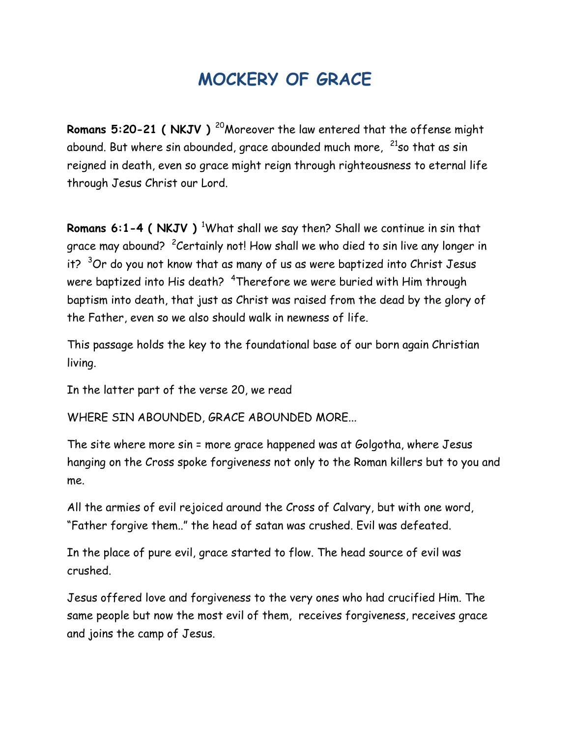## **MOCKERY OF GRACE**

**Romans 5:20-21 ( NKJV )<sup>20</sup>Moreover the law entered that the offense might** abound. But where sin abounded, grace abounded much more,  $21$ so that as sin reigned in death, even so grace might reign through righteousness to eternal life through Jesus Christ our Lord.

**Romans 6:1-4 ( NKJV )** <sup>1</sup>What shall we say then? Shall we continue in sin that grace may abound? <sup>2</sup>Certainly not! How shall we who died to sin live any longer in it?  $3$ Or do you not know that as many of us as were baptized into Christ Jesus were baptized into His death? <sup>4</sup>Therefore we were buried with Him through baptism into death, that just as Christ was raised from the dead by the glory of the Father, even so we also should walk in newness of life.

This passage holds the key to the foundational base of our born again Christian living.

In the latter part of the verse 20, we read

WHERE SIN ABOUNDED, GRACE ABOUNDED MORE...

The site where more sin = more grace happened was at Golgotha, where Jesus hanging on the Cross spoke forgiveness not only to the Roman killers but to you and me.

All the armies of evil rejoiced around the Cross of Calvary, but with one word, "Father forgive them.." the head of satan was crushed. Evil was defeated.

In the place of pure evil, grace started to flow. The head source of evil was crushed.

Jesus offered love and forgiveness to the very ones who had crucified Him. The same people but now the most evil of them, receives forgiveness, receives grace and joins the camp of Jesus.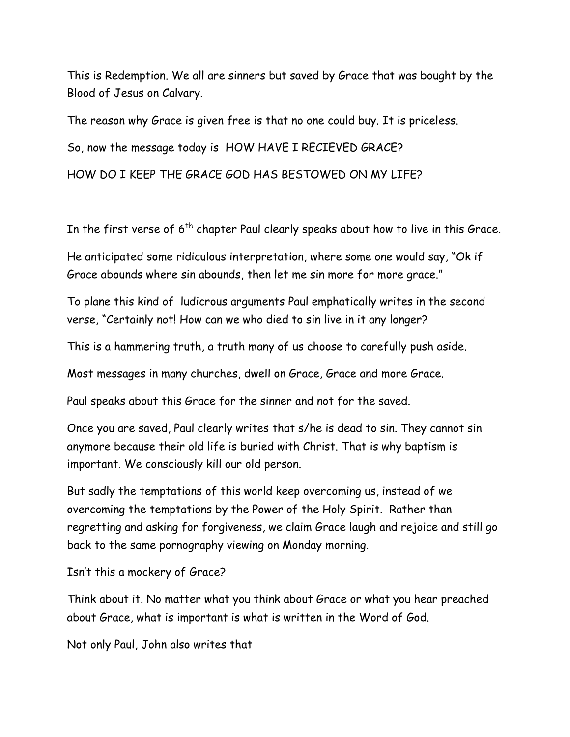This is Redemption. We all are sinners but saved by Grace that was bought by the Blood of Jesus on Calvary.

The reason why Grace is given free is that no one could buy. It is priceless. So, now the message today is HOW HAVE I RECIEVED GRACE?

HOW DO I KEEP THE GRACE GOD HAS BESTOWED ON MY LIFE?

In the first verse of  $6<sup>th</sup>$  chapter Paul clearly speaks about how to live in this Grace.

He anticipated some ridiculous interpretation, where some one would say, "Ok if Grace abounds where sin abounds, then let me sin more for more grace."

To plane this kind of ludicrous arguments Paul emphatically writes in the second verse, "Certainly not! How can we who died to sin live in it any longer?

This is a hammering truth, a truth many of us choose to carefully push aside.

Most messages in many churches, dwell on Grace, Grace and more Grace.

Paul speaks about this Grace for the sinner and not for the saved.

Once you are saved, Paul clearly writes that s/he is dead to sin. They cannot sin anymore because their old life is buried with Christ. That is why baptism is important. We consciously kill our old person.

But sadly the temptations of this world keep overcoming us, instead of we overcoming the temptations by the Power of the Holy Spirit. Rather than regretting and asking for forgiveness, we claim Grace laugh and rejoice and still go back to the same pornography viewing on Monday morning.

Isn't this a mockery of Grace?

Think about it. No matter what you think about Grace or what you hear preached about Grace, what is important is what is written in the Word of God.

Not only Paul, John also writes that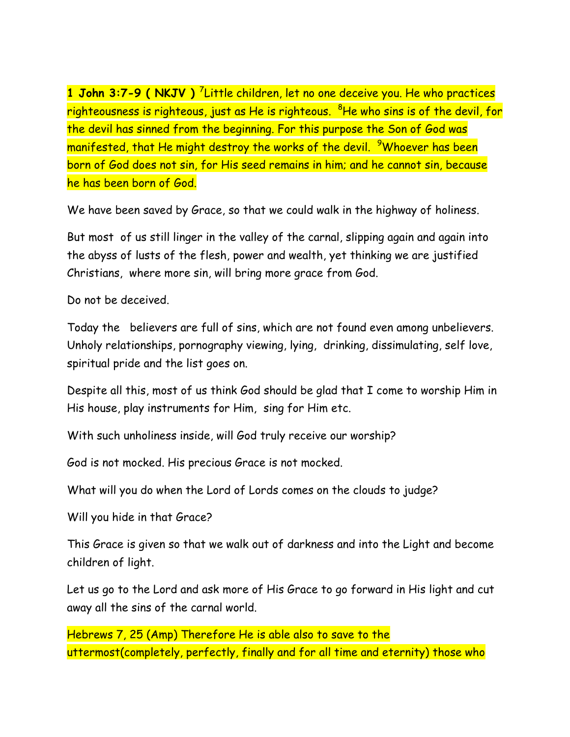**1 John 3:7-9 ( NKJV )** <sup>7</sup> Little children, let no one deceive you. He who practices righteousness is righteous, just as He is righteous. <sup>8</sup>He who sins is of the devil, for the devil has sinned from the beginning. For this purpose the Son of God was manifested, that He might destroy the works of the devil. <sup>9</sup>Whoever has been born of God does not sin, for His seed remains in him; and he cannot sin, because he has been born of God.

We have been saved by Grace, so that we could walk in the highway of holiness.

But most of us still linger in the valley of the carnal, slipping again and again into the abyss of lusts of the flesh, power and wealth, yet thinking we are justified Christians, where more sin, will bring more grace from God.

Do not be deceived.

Today the believers are full of sins, which are not found even among unbelievers. Unholy relationships, pornography viewing, lying, drinking, dissimulating, self love, spiritual pride and the list goes on.

Despite all this, most of us think God should be glad that I come to worship Him in His house, play instruments for Him, sing for Him etc.

With such unholiness inside, will God truly receive our worship?

God is not mocked. His precious Grace is not mocked.

What will you do when the Lord of Lords comes on the clouds to judge?

Will you hide in that Grace?

This Grace is given so that we walk out of darkness and into the Light and become children of light.

Let us go to the Lord and ask more of His Grace to go forward in His light and cut away all the sins of the carnal world.

Hebrews 7, 25 (Amp) Therefore He is able also to save to the uttermost(completely, perfectly, finally and for all time and eternity) those who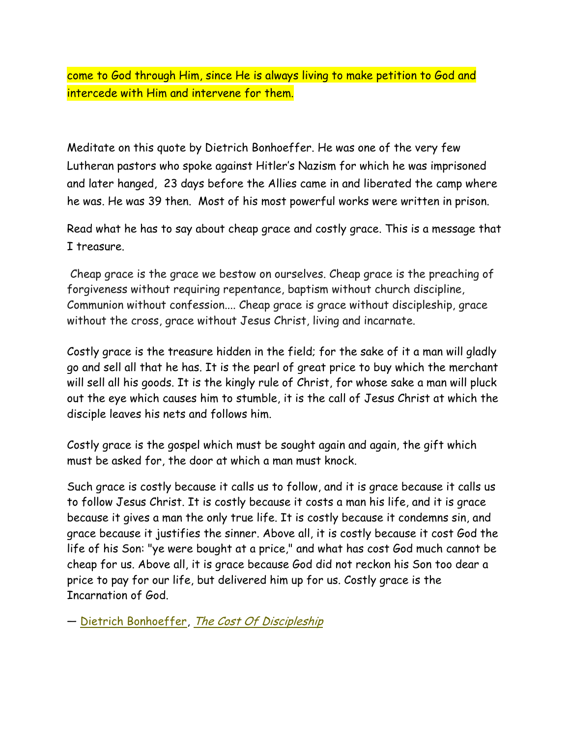come to God through Him, since He is always living to make petition to God and intercede with Him and intervene for them.

Meditate on this quote by Dietrich Bonhoeffer. He was one of the very few Lutheran pastors who spoke against Hitler's Nazism for which he was imprisoned and later hanged, 23 days before the Allies came in and liberated the camp where he was. He was 39 then. Most of his most powerful works were written in prison.

Read what he has to say about cheap grace and costly grace. This is a message that I treasure.

Cheap grace is the grace we bestow on ourselves. Cheap grace is the preaching of forgiveness without requiring repentance, baptism without church discipline, Communion without confession.... Cheap grace is grace without discipleship, grace without the cross, grace without Jesus Christ, living and incarnate.

Costly grace is the treasure hidden in the field; for the sake of it a man will gladly go and sell all that he has. It is the pearl of great price to buy which the merchant will sell all his goods. It is the kingly rule of Christ, for whose sake a man will pluck out the eye which causes him to stumble, it is the call of Jesus Christ at which the disciple leaves his nets and follows him.

Costly grace is the gospel which must be sought again and again, the gift which must be asked for, the door at which a man must knock.

Such grace is costly because it calls us to follow, and it is grace because it calls us to follow Jesus Christ. It is costly because it costs a man his life, and it is grace because it gives a man the only true life. It is costly because it condemns sin, and grace because it justifies the sinner. Above all, it is costly because it cost God the life of his Son: "ye were bought at a price," and what has cost God much cannot be cheap for us. Above all, it is grace because God did not reckon his Son too dear a price to pay for our life, but delivered him up for us. Costly grace is the Incarnation of God.

― [Dietrich Bonhoeffer,](http://www.goodreads.com/author/show/29333.Dietrich_Bonhoeffer) [The Cost Of Discipleship](http://www.goodreads.com/work/quotes/2723088)